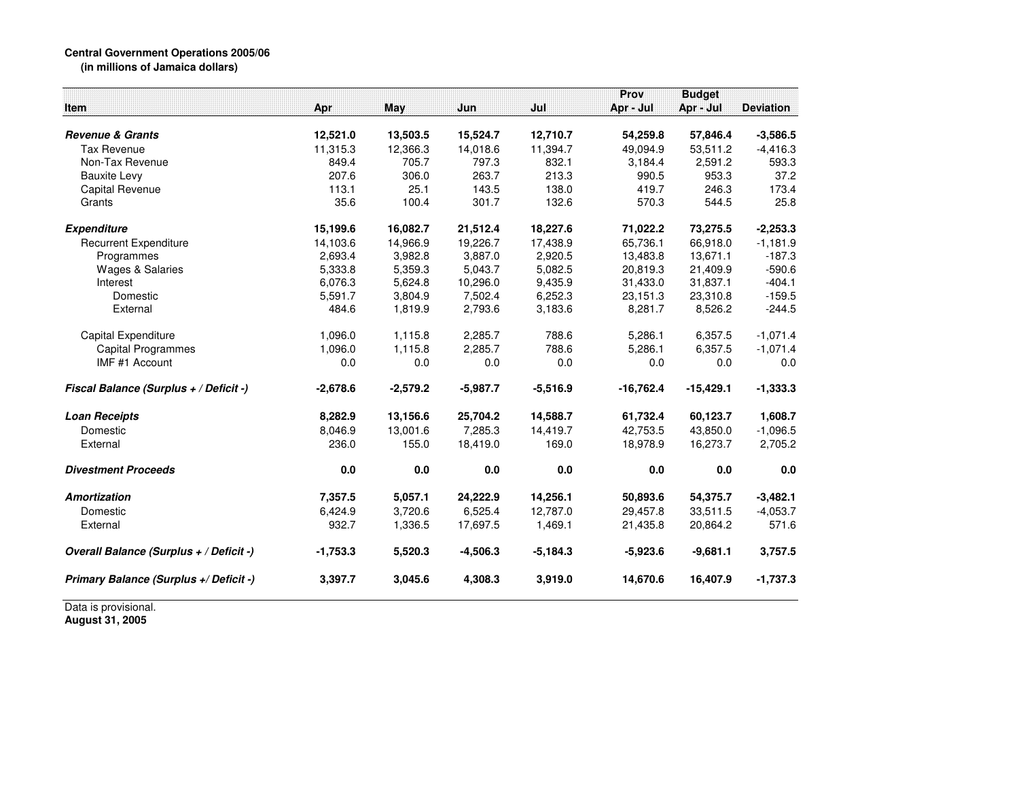## **Central Government Operations 2005/06 (in millions of Jamaica dollars)**

|                                         |            |            |            |            | Prov        | <b>Budget</b> |                  |
|-----------------------------------------|------------|------------|------------|------------|-------------|---------------|------------------|
| <b>Item</b>                             | Apr        | May        | Jun        | Jul        | Apr - Jul   | Apr - Jul     | <b>Deviation</b> |
| <b>Revenue &amp; Grants</b>             | 12,521.0   | 13,503.5   | 15,524.7   | 12,710.7   | 54,259.8    | 57,846.4      | $-3,586.5$       |
| <b>Tax Revenue</b>                      | 11,315.3   | 12,366.3   | 14,018.6   | 11,394.7   | 49,094.9    | 53,511.2      | $-4,416.3$       |
| Non-Tax Revenue                         | 849.4      | 705.7      | 797.3      | 832.1      | 3.184.4     | 2.591.2       | 593.3            |
| <b>Bauxite Levy</b>                     | 207.6      | 306.0      | 263.7      | 213.3      | 990.5       | 953.3         | 37.2             |
| <b>Capital Revenue</b>                  | 113.1      | 25.1       | 143.5      | 138.0      | 419.7       | 246.3         | 173.4            |
| Grants                                  | 35.6       | 100.4      | 301.7      | 132.6      | 570.3       | 544.5         | 25.8             |
| <b>Expenditure</b>                      | 15,199.6   | 16,082.7   | 21,512.4   | 18,227.6   | 71,022.2    | 73,275.5      | $-2,253.3$       |
| <b>Recurrent Expenditure</b>            | 14,103.6   | 14,966.9   | 19,226.7   | 17,438.9   | 65,736.1    | 66,918.0      | $-1,181.9$       |
| Programmes                              | 2.693.4    | 3,982.8    | 3.887.0    | 2.920.5    | 13,483.8    | 13,671.1      | $-187.3$         |
| Wages & Salaries                        | 5,333.8    | 5,359.3    | 5,043.7    | 5,082.5    | 20,819.3    | 21,409.9      | $-590.6$         |
| Interest                                | 6,076.3    | 5,624.8    | 10,296.0   | 9,435.9    | 31,433.0    | 31,837.1      | $-404.1$         |
| Domestic                                | 5,591.7    | 3,804.9    | 7,502.4    | 6,252.3    | 23,151.3    | 23,310.8      | $-159.5$         |
| External                                | 484.6      | 1,819.9    | 2,793.6    | 3,183.6    | 8,281.7     | 8,526.2       | $-244.5$         |
| Capital Expenditure                     | 1,096.0    | 1,115.8    | 2,285.7    | 788.6      | 5,286.1     | 6,357.5       | $-1,071.4$       |
| <b>Capital Programmes</b>               | 1,096.0    | 1,115.8    | 2,285.7    | 788.6      | 5,286.1     | 6,357.5       | $-1,071.4$       |
| IMF #1 Account                          | 0.0        | 0.0        | 0.0        | 0.0        | 0.0         | 0.0           | 0.0              |
| Fiscal Balance (Surplus + / Deficit -)  | $-2,678.6$ | $-2,579.2$ | $-5,987.7$ | $-5,516.9$ | $-16,762.4$ | $-15,429.1$   | $-1,333.3$       |
| <b>Loan Receipts</b>                    | 8,282.9    | 13,156.6   | 25,704.2   | 14,588.7   | 61,732.4    | 60,123.7      | 1,608.7          |
| Domestic                                | 8,046.9    | 13,001.6   | 7,285.3    | 14,419.7   | 42,753.5    | 43,850.0      | $-1,096.5$       |
| External                                | 236.0      | 155.0      | 18,419.0   | 169.0      | 18,978.9    | 16,273.7      | 2,705.2          |
| <b>Divestment Proceeds</b>              | 0.0        | 0.0        | 0.0        | 0.0        | 0.0         | 0.0           | 0.0              |
| Amortization                            | 7,357.5    | 5,057.1    | 24,222.9   | 14,256.1   | 50,893.6    | 54,375.7      | $-3,482.1$       |
| Domestic                                | 6,424.9    | 3,720.6    | 6,525.4    | 12,787.0   | 29,457.8    | 33,511.5      | $-4,053.7$       |
| External                                | 932.7      | 1,336.5    | 17,697.5   | 1,469.1    | 21,435.8    | 20,864.2      | 571.6            |
| Overall Balance (Surplus + / Deficit -) | $-1,753.3$ | 5,520.3    | $-4,506.3$ | $-5,184.3$ | $-5,923.6$  | $-9,681.1$    | 3,757.5          |
| Primary Balance (Surplus +/ Deficit -)  | 3,397.7    | 3.045.6    | 4,308.3    | 3,919.0    | 14,670.6    | 16,407.9      | $-1,737.3$       |

Data is provisional. **August 31, 2005**